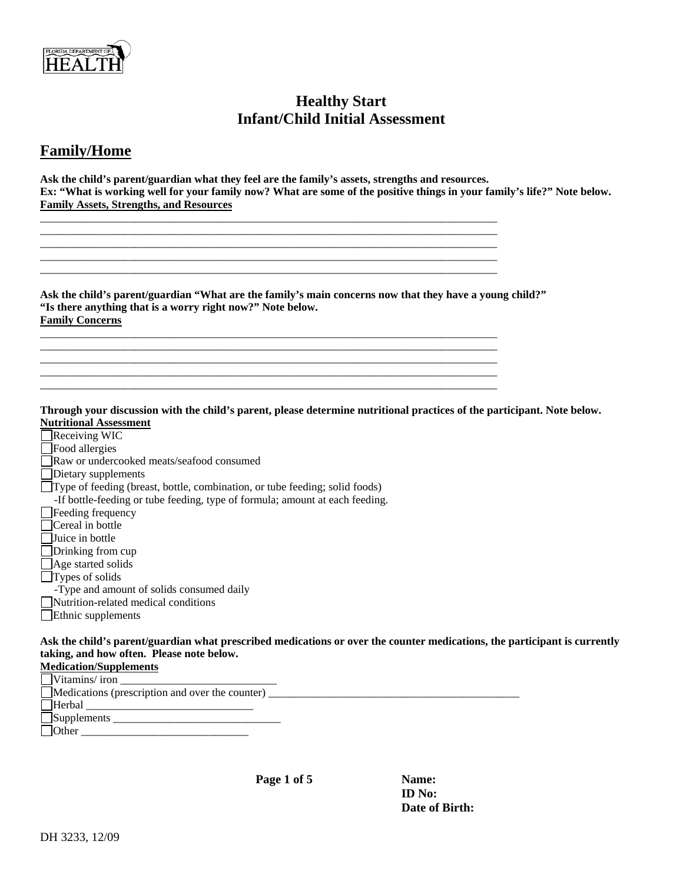

# **Healthy Start Infant/Child Initial Assessment**

# **Family/Home**

**Ask the child's parent/guardian what they feel are the family's assets, strengths and resources. Ex: "What is working well for your family now? What are some of the positive things in your family's life?" Note below. Family Assets, Strengths, and Resources**

**Ask the child's parent/guardian "What are the family's main concerns now that they have a young child?" "Is there anything that is a worry right now?" Note below. Family Concerns** \_\_\_\_\_\_\_\_\_\_\_\_\_\_\_\_\_\_\_\_\_\_\_\_\_\_\_\_\_\_\_\_\_\_\_\_\_\_\_\_\_\_\_\_\_\_\_\_\_\_\_\_\_\_\_\_\_\_\_\_\_\_\_\_\_\_\_\_\_\_\_\_\_\_\_\_\_\_\_\_\_\_

\_\_\_\_\_\_\_\_\_\_\_\_\_\_\_\_\_\_\_\_\_\_\_\_\_\_\_\_\_\_\_\_\_\_\_\_\_\_\_\_\_\_\_\_\_\_\_\_\_\_\_\_\_\_\_\_\_\_\_\_\_\_\_\_\_\_\_\_\_\_\_\_\_\_\_\_\_\_\_\_\_\_ \_\_\_\_\_\_\_\_\_\_\_\_\_\_\_\_\_\_\_\_\_\_\_\_\_\_\_\_\_\_\_\_\_\_\_\_\_\_\_\_\_\_\_\_\_\_\_\_\_\_\_\_\_\_\_\_\_\_\_\_\_\_\_\_\_\_\_\_\_\_\_\_\_\_\_\_\_\_\_\_\_\_ \_\_\_\_\_\_\_\_\_\_\_\_\_\_\_\_\_\_\_\_\_\_\_\_\_\_\_\_\_\_\_\_\_\_\_\_\_\_\_\_\_\_\_\_\_\_\_\_\_\_\_\_\_\_\_\_\_\_\_\_\_\_\_\_\_\_\_\_\_\_\_\_\_\_\_\_\_\_\_\_\_\_ \_\_\_\_\_\_\_\_\_\_\_\_\_\_\_\_\_\_\_\_\_\_\_\_\_\_\_\_\_\_\_\_\_\_\_\_\_\_\_\_\_\_\_\_\_\_\_\_\_\_\_\_\_\_\_\_\_\_\_\_\_\_\_\_\_\_\_\_\_\_\_\_\_\_\_\_\_\_\_\_\_\_ \_\_\_\_\_\_\_\_\_\_\_\_\_\_\_\_\_\_\_\_\_\_\_\_\_\_\_\_\_\_\_\_\_\_\_\_\_\_\_\_\_\_\_\_\_\_\_\_\_\_\_\_\_\_\_\_\_\_\_\_\_\_\_\_\_\_\_\_\_\_\_\_\_\_\_\_\_\_\_\_\_\_

\_\_\_\_\_\_\_\_\_\_\_\_\_\_\_\_\_\_\_\_\_\_\_\_\_\_\_\_\_\_\_\_\_\_\_\_\_\_\_\_\_\_\_\_\_\_\_\_\_\_\_\_\_\_\_\_\_\_\_\_\_\_\_\_\_\_\_\_\_\_\_\_\_\_\_\_\_\_\_\_\_\_ \_\_\_\_\_\_\_\_\_\_\_\_\_\_\_\_\_\_\_\_\_\_\_\_\_\_\_\_\_\_\_\_\_\_\_\_\_\_\_\_\_\_\_\_\_\_\_\_\_\_\_\_\_\_\_\_\_\_\_\_\_\_\_\_\_\_\_\_\_\_\_\_\_\_\_\_\_\_\_\_\_\_ \_\_\_\_\_\_\_\_\_\_\_\_\_\_\_\_\_\_\_\_\_\_\_\_\_\_\_\_\_\_\_\_\_\_\_\_\_\_\_\_\_\_\_\_\_\_\_\_\_\_\_\_\_\_\_\_\_\_\_\_\_\_\_\_\_\_\_\_\_\_\_\_\_\_\_\_\_\_\_\_\_\_

**Through your discussion with the child's parent, please determine nutritional practices of the participant. Note below. Nutritional Assessment**

Receiving WIC Food allergies

- Raw or undercooked meats/seafood consumed
- Dietary supplements

□Type of feeding (breast, bottle, combination, or tube feeding; solid foods)

|  | -If bottle-feeding or tube feeding, type of formula; amount at each feeding. |  |  |  |
|--|------------------------------------------------------------------------------|--|--|--|
|--|------------------------------------------------------------------------------|--|--|--|

| Feeding frequency                         |
|-------------------------------------------|
| $\Box$ Cereal in bottle                   |
| $\Box$ Juice in bottle                    |
| $\Box$ Drinking from cup                  |
| <b>Age started solids</b>                 |
| $\Box$ Types of solids                    |
| -Type and amount of solids consumed daily |
| Nutrition-related medical conditions      |
| Ethnic supplements                        |
|                                           |

**Ask the child's parent/guardian what prescribed medications or over the counter medications, the participant is currently taking, and how often. Please note below.** 

| <b>Medication/Supplements</b>                          |  |
|--------------------------------------------------------|--|
| $\Box$ Vitamins/ iron                                  |  |
| $\Box$ Medications (prescription and over the counter) |  |
| Herbal                                                 |  |
| $\Box$ Supplements                                     |  |
| <b>Other</b>                                           |  |

 **Page 1 of 5 Name:** 

 **ID No: Date of Birth:**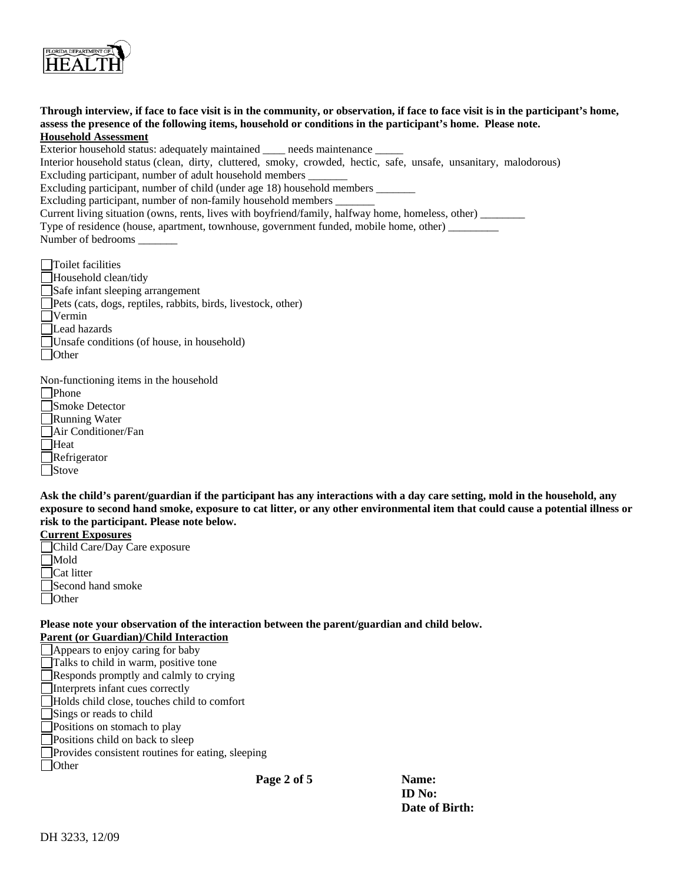

#### **Through interview, if face to face visit is in the community, or observation, if face to face visit is in the participant's home, assess the presence of the following items, household or conditions in the participant's home. Please note. Household Assessment**

Exterior household status: adequately maintained needs maintenance

Interior household status (clean, dirty, cluttered, smoky, crowded, hectic, safe, unsafe, unsanitary, malodorous)

Excluding participant, number of adult household members

Excluding participant, number of child (under age 18) household members

Excluding participant, number of non-family household members

Current living situation (owns, rents, lives with boyfriend/family, halfway home, homeless, other) \_\_\_\_\_\_\_\_

Type of residence (house, apartment, townhouse, government funded, mobile home, other) \_\_\_\_\_\_\_\_\_ Number of bedrooms \_\_\_\_\_\_\_

Toilet facilities Household clean/tidy Safe infant sleeping arrangement Pets (cats, dogs, reptiles, rabbits, birds, livestock, other) Vermin Lead hazards Unsafe conditions (of house, in household) **N**Other

Non-functioning items in the household

■Phone Smoke Detector Running Water Air Conditioner/Fan **Heat** Refrigerator Stove

**Ask the child's parent/guardian if the participant has any interactions with a day care setting, mold in the household, any exposure to second hand smoke, exposure to cat litter, or any other environmental item that could cause a potential illness or risk to the participant. Please note below.** 

# **Current Exposures**

Child Care/Day Care exposure Mold Cat litter Second hand smoke Other

# **Please note your observation of the interaction between the parent/guardian and child below.**

## **Parent (or Guardian)/Child Interaction**

□ Appears to enjoy caring for baby Talks to child in warm, positive tone Responds promptly and calmly to crying Interprets infant cues correctly Holds child close, touches child to comfort Sings or reads to child Positions on stomach to play Positions child on back to sleep Provides consistent routines for eating, sleeping □Other

 **Page 2 of 5 Name:** 

 **ID No: Date of Birth:**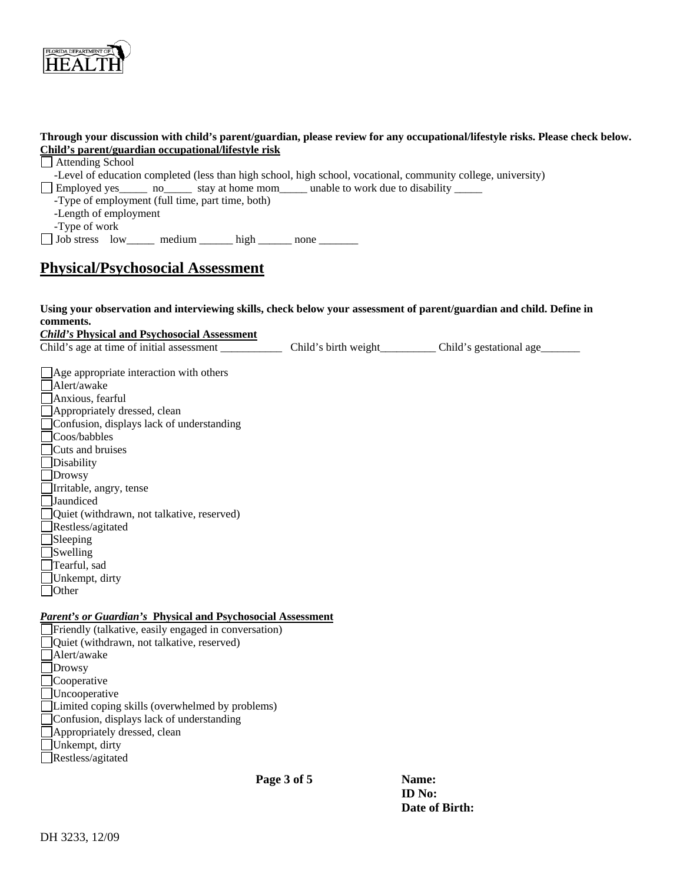

| Through your discussion with child's parent/guardian, please review for any occupational/lifestyle risks. Please check below.<br>Child's parent/guardian occupational/lifestyle risk |             |       |
|--------------------------------------------------------------------------------------------------------------------------------------------------------------------------------------|-------------|-------|
| Attending School                                                                                                                                                                     |             |       |
| -Level of education completed (less than high school, high school, vocational, community college, university)                                                                        |             |       |
| Employed yes _______ no_______ stay at home mom______ unable to work due to disability ______                                                                                        |             |       |
| -Type of employment (full time, part time, both)                                                                                                                                     |             |       |
| -Length of employment                                                                                                                                                                |             |       |
| -Type of work                                                                                                                                                                        |             |       |
| Job stress low______ medium _______ high _______ none _______                                                                                                                        |             |       |
|                                                                                                                                                                                      |             |       |
| <b>Physical/Psychosocial Assessment</b>                                                                                                                                              |             |       |
|                                                                                                                                                                                      |             |       |
|                                                                                                                                                                                      |             |       |
| Using your observation and interviewing skills, check below your assessment of parent/guardian and child. Define in<br>comments.                                                     |             |       |
| <b>Child's Physical and Psychosocial Assessment</b>                                                                                                                                  |             |       |
|                                                                                                                                                                                      |             |       |
|                                                                                                                                                                                      |             |       |
| $\Box$ Age appropriate interaction with others                                                                                                                                       |             |       |
| Alert/awake                                                                                                                                                                          |             |       |
| □ Anxious, fearful<br>□ Appropriately dressed, clean                                                                                                                                 |             |       |
|                                                                                                                                                                                      |             |       |
| □ Confusion, displays lack of understanding                                                                                                                                          |             |       |
| Coos/babbles                                                                                                                                                                         |             |       |
| $\Box$ Cuts and bruises                                                                                                                                                              |             |       |
| <b>Disability</b>                                                                                                                                                                    |             |       |
| $\Box$ Drowsy                                                                                                                                                                        |             |       |
| Irritable, angry, tense                                                                                                                                                              |             |       |
| <b>Jaundiced</b>                                                                                                                                                                     |             |       |
| □ Quiet (withdrawn, not talkative, reserved)                                                                                                                                         |             |       |
| Restless/agitated                                                                                                                                                                    |             |       |
| $\Box$ Sleeping                                                                                                                                                                      |             |       |
| Swelling<br>Tearful, sad                                                                                                                                                             |             |       |
|                                                                                                                                                                                      |             |       |
| Unkempt, dirty                                                                                                                                                                       |             |       |
| Other                                                                                                                                                                                |             |       |
| <b>Parent's or Guardian's Physical and Psychosocial Assessment</b>                                                                                                                   |             |       |
| Friendly (talkative, easily engaged in conversation)                                                                                                                                 |             |       |
| Quiet (withdrawn, not talkative, reserved)                                                                                                                                           |             |       |
| Alert/awake                                                                                                                                                                          |             |       |
| Drowsy                                                                                                                                                                               |             |       |
| Cooperative                                                                                                                                                                          |             |       |
| Uncooperative                                                                                                                                                                        |             |       |
| □Limited coping skills (overwhelmed by problems)                                                                                                                                     |             |       |
| Confusion, displays lack of understanding                                                                                                                                            |             |       |
| Appropriately dressed, clean                                                                                                                                                         |             |       |
| Unkempt, dirty                                                                                                                                                                       |             |       |
| Restless/agitated                                                                                                                                                                    |             |       |
|                                                                                                                                                                                      |             |       |
|                                                                                                                                                                                      | Page 3 of 5 | Name: |

 **Date of Birth:**

 **ID No:**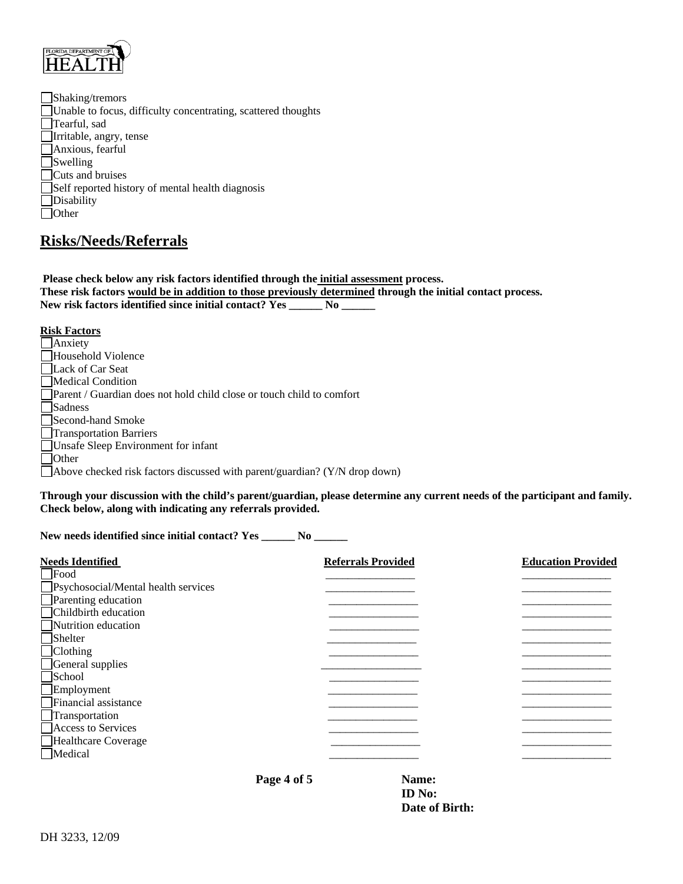

Shaking/tremors Unable to focus, difficulty concentrating, scattered thoughts Tearful, sad Irritable, angry, tense Anxious, fearful **Swelling** Cuts and bruises Self reported history of mental health diagnosis Disability □ Other

# **Risks/Needs/Referrals**

**Please check below any risk factors identified through the initial assessment process. These risk factors would be in addition to those previously determined through the initial contact process. New risk factors identified since initial contact? Yes \_\_\_\_\_\_ No \_\_\_\_\_\_** 

#### **Risk Factors**

**Through your discussion with the child's parent/guardian, please determine any current needs of the participant and family. Check below, along with indicating any referrals provided.** 

## **New needs identified since initial contact? Yes \_\_\_\_\_\_ No \_\_\_\_\_\_**

| <b>Needs Identified</b>                    |             | <b>Referrals Provided</b> | <b>Education Provided</b> |
|--------------------------------------------|-------------|---------------------------|---------------------------|
| $\neg$ Food                                |             |                           |                           |
| <b>Psychosocial/Mental health services</b> |             |                           |                           |
| Parenting education                        |             |                           |                           |
| Childbirth education                       |             |                           |                           |
| Nutrition education                        |             |                           |                           |
| Shelter                                    |             |                           |                           |
| $\Box$ Clothing                            |             |                           |                           |
| General supplies                           |             |                           |                           |
| School                                     |             |                           |                           |
| Employment                                 |             |                           |                           |
| Financial assistance                       |             |                           |                           |
| Transportation                             |             |                           |                           |
| Access to Services                         |             |                           |                           |
| Healthcare Coverage                        |             |                           |                           |
| Medical                                    |             |                           |                           |
|                                            | Page 4 of 5 | Name:                     |                           |
|                                            |             | <b>ID</b> No:             |                           |
|                                            |             | Date of Birth:            |                           |